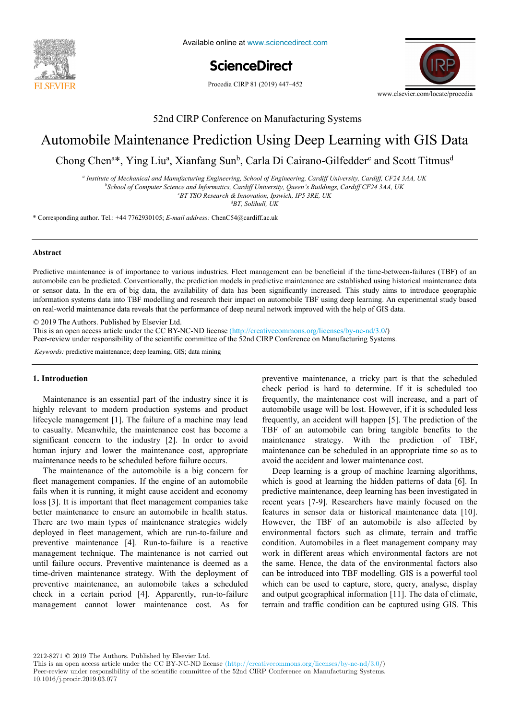

Available online at www.sciencedirect.com

**ScienceDirect** ScienceDirect Procedia CIRP 00 (2019) 000–000

Procedia CIRP 81 (2019) 447-452



52nd CIRP Conference on Manufacturing Systems 52nd CIRP Conference on Manufacturing Systems

# Automobile Maintenance Prediction Using Deep Learning with GIS Data

A new methodology to analyze the functional and physical architecture of the functional and physical architecture of the functional and physical architecture of the functional and physical architecture of the functional an Chong Chen<sup>a\*</sup>, Ying Liu<sup>a</sup>, Xianfang Sun<sup>b</sup>, Carla Di Cairano-Gilfedder<sup>c</sup> and Scott Titmus<sup>d</sup>

a Institute of Mechanical and Manufacturing Engineering, School of Engineering, Cardiff University, Cardiff, CF24 3AA, UK

<sup>b</sup>School of Computer Science and Information, Sensor by Engineering, Cartagy Surveysity, Cartagy, C. 21 S.m., C.<br><sup>b</sup>School of Computer Science and Information, Cardiff University, Queen's Buildings, Cardiff CF24 3AA, UK

*BT TSO Research & Innovation, Ipswich, IP5 3RE, UK d c BT TSO Research & Innovation, Ipswich, IP5 3RE, UK d*

*BT, Solihull, UK BT, Solihull, UK*

\* Corresponding author. Tel.: +44 7762930105; E-mail address: ChenC54@cardiff.ac.uk

#### $\Delta$ bstract. Tel.: +33 37 37 37 54 37 54 37 54 37 54 37 54 37 54 30; **E-mail address: paul.stief @ensam.eur.stief Abstract Abstract**

or sensor data. In the era of big data, the availability of data has been significantly increased. This study aims to introduce geographic no real world maintenance data reveals that the performance of deen neural network improved with the help of GIS data Predictive maintenance is of importance to various industries. Fleet management can be beneficial if the time-between-failures (TBF) of an automobile can be predicted. Conventionally, the prediction models in predictive maintenance are established using historical maintenance data information systems data into TBF modelling and research their impact on automobile TBF using deep learning. An experimental study based on real-world maintenance data reveals that the performance of deep neural network improved with the help of GIS data.

these products in new assembly oriented product families for the optimization of existing assembly lines and the creation of future reconfigurable

 $\odot$  2019 The Authors. Published by Elsevier Ltd.

 $\degree$  2019 The Authors. Published by Eisevier Ltd.<br>This is an open access article under the CC BY-NC-ND license (http://creativecommons.org/licenses/by-nc-nd/3.0/) and a product of the product family of the product family of the physical department product family of the number of  $\frac{1}{2}$  and  $\frac{1}{2}$  and  $\frac{1}{2}$  and  $\frac{1}{2}$  and  $\frac{1}{2}$  and  $\frac{1}{2}$  and  $\frac{1}{2}$  and  $\frac{1}{$ 

Peer-review under responsibility of the scientific committee of the 52nd CIRP Conference on Manufacturing Systems.

*Keywords:* predictive maintenance; deep learning; GIS; data mining

## **1. Introduction 1. Introduction**

highly relevant to modern production systems and product automobile usage will be lost lifecycle management [1]. The failure of a machine may lead to casualty. Meanwhile, the maintenance cost has become a TBF of an automobile human injury and lower the maintenance cost, appropriate Maintenance is an essential part of the industry since it is Maintenance is an essential part of the industry since it is significant concern to the industry [2]. In order to avoid maintenance needs to be scheduled before failure occurs.

fleet management companies. If the engine of an automobile field rains when it is running, it inight cause accident and economy<br>loss [3]. It is important that fleet management companies take  $\frac{1}{3}$ . It is important that fleet management companies take better maintenance to ensure an automobile in health status. There are two main types of maintenance strategies widely  $\frac{1}{2}$ deployed in fleet management, which are run-to-failure and deployed in fleet management, which are run-to-failure preventive maintenance [4]. Run-to-failure is a reactive  $\Gamma$ management technique. The maintenance is not carried out until failure occurs. Preventive maintenance is deemed as a a global state of the same of the same of the same of the same of the same of the same of the same of the same of the same of the same of the same of the same of time-driven maintenance strategy. With the deployment of time-driven maintenance strategy. With the deproyment of preventive maintenance, an automobile takes a scheduled check in a certain period [4]. Apparently, run-to-failure management cannot lower maintenance cost. As for The maintenance of the automobile is a big concern for fails when it is running, it might cause accident and economy better maintenance to ensure an automobile in health status. preventive maintenance, an automobile takes a scheduled

assembly systems. Based on Datum Flow Chain, the physical structure of the products is analyzed. Functional subassemblies are identified, and **1. Introduction** preventive maintenance, a tricky part is that the scheduled check period is hard to determine. If it is scheduled too Maintenance is an essential part of the industry since it is<br>the maintenance cost will increase, and a part of automobile usage will be lost. However, if it is scheduled less frequently, an accident will happen [5]. The prediction of the frequently, an accident will happen [5]. The prediction of the TBF of an automobile can bring tangible benefits to the TBF maintenance strategy. With the prediction of TBF, maintenance strategy. With the prediction of TBF, maintenance can be scheduled in an appropriate time so as to maintenance can be scheduled in an appropriate time so as to avoid the accident and lower maintenance cost.

which is good at learning the hidden patterns of data [6]. In predictive maintenance, deep learning has been investigated in predictive maintenance, deep rearning has been investigated in recent years [7-9]. Researchers have mainly focused on the recent years [7-9]. Researchers have mainly focused on the features in sensor data or historical maintenance data [10]. However, the TBF of an automobile is also affected by nowever, the TBF of an automobile is also affected by environmental factors such as climate, terrain and traffic environmental factors such as climate, terrain and traffic<br>condition. Automobiles in a fleet management company may condition. Automobiles in a fleet management company may work in different areas which environmental factors are not work in different areas which environmental factors are not<br>the same. Hence, the data of the environmental factors also the same. Hence, the data of the environmental factors also<br>can be introduced into TBF modelling. GIS is a powerful tool example introduced into TBF moderning. GIS is a powerful tool<br>which can be used to capture, store, query, analyse, display<br> $\frac{1}{2}$ and output geographical information [11]. The data of climate,  $\frac{1}{2}$ terrain and traffic condition can be captured using GIS. This Deep learning is a group of machine learning algorithms, Deep learning is a group of machine learning algorithms, features in sensor data or historical maintenance data [10]. which can be used to capture, store, query, analyse, display

2212-8271 © 2019 The Authors. Published by Elsevier Ltd.

This is an open access article under the CC BY-NC-ND license (http://creativecommons.org/licenses/by-nc-nd/3.0/) Peer-review under responsibility of the scientific committee of the 52nd CIRP Conference on Manufacturing Systems. 10.1016/j.procir.2019.03.077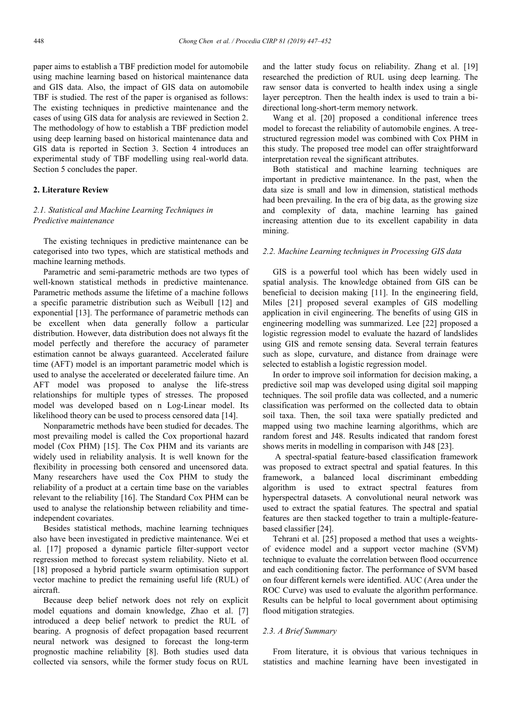paper aims to establish a TBF prediction model for automobile using machine learning based on historical maintenance data and GIS data. Also, the impact of GIS data on automobile TBF is studied. The rest of the paper is organised as follows: The existing techniques in predictive maintenance and the cases of using GIS data for analysis are reviewed in Section 2. The methodology of how to establish a TBF prediction model using deep learning based on historical maintenance data and GIS data is reported in Section 3. Section 4 introduces an experimental study of TBF modelling using real-world data. Section 5 concludes the paper.

#### **2. Literature Review**

### *2.1. Statistical and Machine Learning Techniques in Predictive maintenance*

The existing techniques in predictive maintenance can be categorised into two types, which are statistical methods and machine learning methods.

Parametric and semi-parametric methods are two types of well-known statistical methods in predictive maintenance. Parametric methods assume the lifetime of a machine follows a specific parametric distribution such as Weibull [12] and exponential [13]. The performance of parametric methods can be excellent when data generally follow a particular distribution. However, data distribution does not always fit the model perfectly and therefore the accuracy of parameter estimation cannot be always guaranteed. Accelerated failure time (AFT) model is an important parametric model which is used to analyse the accelerated or decelerated failure time. An AFT model was proposed to analyse the life-stress relationships for multiple types of stresses. The proposed model was developed based on n Log-Linear model. Its likelihood theory can be used to process censored data [14].

Nonparametric methods have been studied for decades. The most prevailing model is called the Cox proportional hazard model (Cox PHM) [15]. The Cox PHM and its variants are widely used in reliability analysis. It is well known for the flexibility in processing both censored and uncensored data. Many researchers have used the Cox PHM to study the reliability of a product at a certain time base on the variables relevant to the reliability [16]. The Standard Cox PHM can be used to analyse the relationship between reliability and timeindependent covariates.

Besides statistical methods, machine learning techniques also have been investigated in predictive maintenance. Wei et al. [17] proposed a dynamic particle filter-support vector regression method to forecast system reliability. Nieto et al. [18] proposed a hybrid particle swarm optimisation support vector machine to predict the remaining useful life (RUL) of aircraft.

Because deep belief network does not rely on explicit model equations and domain knowledge, Zhao et al. [7] introduced a deep belief network to predict the RUL of bearing. A prognosis of defect propagation based recurrent neural network was designed to forecast the long-term prognostic machine reliability [8]. Both studies used data collected via sensors, while the former study focus on RUL and the latter study focus on reliability. Zhang et al. [19] researched the prediction of RUL using deep learning. The raw sensor data is converted to health index using a single layer perceptron. Then the health index is used to train a bidirectional long-short-term memory network.

Wang et al. [20] proposed a conditional inference trees model to forecast the reliability of automobile engines. A treestructured regression model was combined with Cox PHM in this study. The proposed tree model can offer straightforward interpretation reveal the significant attributes.

Both statistical and machine learning techniques are important in predictive maintenance. In the past, when the data size is small and low in dimension, statistical methods had been prevailing. In the era of big data, as the growing size and complexity of data, machine learning has gained increasing attention due to its excellent capability in data mining.

#### *2.2. Machine Learning techniques in Processing GIS data*

GIS is a powerful tool which has been widely used in spatial analysis. The knowledge obtained from GIS can be beneficial to decision making [11]. In the engineering field, Miles [21] proposed several examples of GIS modelling application in civil engineering. The benefits of using GIS in engineering modelling was summarized. Lee [22] proposed a logistic regression model to evaluate the hazard of landslides using GIS and remote sensing data. Several terrain features such as slope, curvature, and distance from drainage were selected to establish a logistic regression model.

In order to improve soil information for decision making, a predictive soil map was developed using digital soil mapping techniques. The soil profile data was collected, and a numeric classification was performed on the collected data to obtain soil taxa. Then, the soil taxa were spatially predicted and mapped using two machine learning algorithms, which are random forest and J48. Results indicated that random forest shows merits in modelling in comparison with J48 [23].

A spectral-spatial feature-based classification framework was proposed to extract spectral and spatial features. In this framework, a balanced local discriminant embedding algorithm is used to extract spectral features from hyperspectral datasets. A convolutional neural network was used to extract the spatial features. The spectral and spatial features are then stacked together to train a multiple-featurebased classifier [24].

Tehrani et al. [25] proposed a method that uses a weightsof evidence model and a support vector machine (SVM) technique to evaluate the correlation between flood occurrence and each conditioning factor. The performance of SVM based on four different kernels were identified. AUC (Area under the ROC Curve) was used to evaluate the algorithm performance. Results can be helpful to local government about optimising flood mitigation strategies.

#### *2.3. A Brief Summary*

From literature, it is obvious that various techniques in statistics and machine learning have been investigated in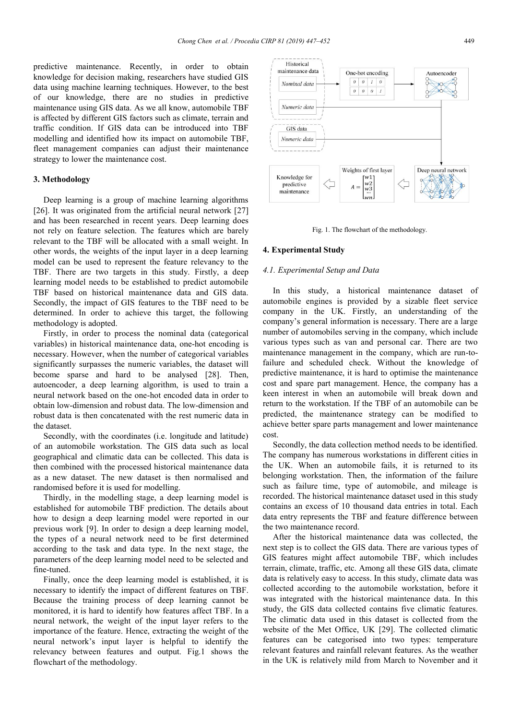predictive maintenance. Recently, in order to obtain knowledge for decision making, researchers have studied GIS data using machine learning techniques. However, to the best of our knowledge, there are no studies in predictive maintenance using GIS data. As we all know, automobile TBF is affected by different GIS factors such as climate, terrain and traffic condition. If GIS data can be introduced into TBF modelling and identified how its impact on automobile TBF, fleet management companies can adjust their maintenance strategy to lower the maintenance cost.

#### **3. Methodology**

Deep learning is a group of machine learning algorithms [26]. It was originated from the artificial neural network [27] and has been researched in recent years. Deep learning does not rely on feature selection. The features which are barely relevant to the TBF will be allocated with a small weight. In other words, the weights of the input layer in a deep learning model can be used to represent the feature relevancy to the TBF. There are two targets in this study. Firstly, a deep learning model needs to be established to predict automobile TBF based on historical maintenance data and GIS data. Secondly, the impact of GIS features to the TBF need to be determined. In order to achieve this target, the following methodology is adopted.

Firstly, in order to process the nominal data (categorical variables) in historical maintenance data, one-hot encoding is necessary. However, when the number of categorical variables significantly surpasses the numeric variables, the dataset will become sparse and hard to be analysed [28]. Then, autoencoder, a deep learning algorithm, is used to train a neural network based on the one-hot encoded data in order to obtain low-dimension and robust data. The low-dimension and robust data is then concatenated with the rest numeric data in the dataset.

Secondly, with the coordinates (i.e. longitude and latitude) of an automobile workstation. The GIS data such as local geographical and climatic data can be collected. This data is then combined with the processed historical maintenance data as a new dataset. The new dataset is then normalised and randomised before it is used for modelling.

Thirdly, in the modelling stage, a deep learning model is established for automobile TBF prediction. The details about how to design a deep learning model were reported in our previous work [9]. In order to design a deep learning model, the types of a neural network need to be first determined according to the task and data type. In the next stage, the parameters of the deep learning model need to be selected and fine-tuned.

Finally, once the deep learning model is established, it is necessary to identify the impact of different features on TBF. Because the training process of deep learning cannot be monitored, it is hard to identify how features affect TBF. In a neural network, the weight of the input layer refers to the importance of the feature. Hence, extracting the weight of the neural network's input layer is helpful to identify the relevancy between features and output. Fig.1 shows the flowchart of the methodology.



Fig. 1. The flowchart of the methodology.

#### **4. Experimental Study**

#### *4.1. Experimental Setup and Data*

In this study, a historical maintenance dataset of automobile engines is provided by a sizable fleet service company in the UK. Firstly, an understanding of the company's general information is necessary. There are a large number of automobiles serving in the company, which include various types such as van and personal car. There are two maintenance management in the company, which are run-tofailure and scheduled check. Without the knowledge of predictive maintenance, it is hard to optimise the maintenance cost and spare part management. Hence, the company has a keen interest in when an automobile will break down and return to the workstation. If the TBF of an automobile can be predicted, the maintenance strategy can be modified to achieve better spare parts management and lower maintenance cost.

Secondly, the data collection method needs to be identified. The company has numerous workstations in different cities in the UK. When an automobile fails, it is returned to its belonging workstation. Then, the information of the failure such as failure time, type of automobile, and mileage is recorded. The historical maintenance dataset used in this study contains an excess of 10 thousand data entries in total. Each data entry represents the TBF and feature difference between the two maintenance record.

After the historical maintenance data was collected, the next step is to collect the GIS data. There are various types of GIS features might affect automobile TBF, which includes terrain, climate, traffic, etc. Among all these GIS data, climate data is relatively easy to access. In this study, climate data was collected according to the automobile workstation, before it was integrated with the historical maintenance data. In this study, the GIS data collected contains five climatic features. The climatic data used in this dataset is collected from the website of the Met Office, UK [29]. The collected climatic features can be categorised into two types: temperature relevant features and rainfall relevant features. As the weather in the UK is relatively mild from March to November and it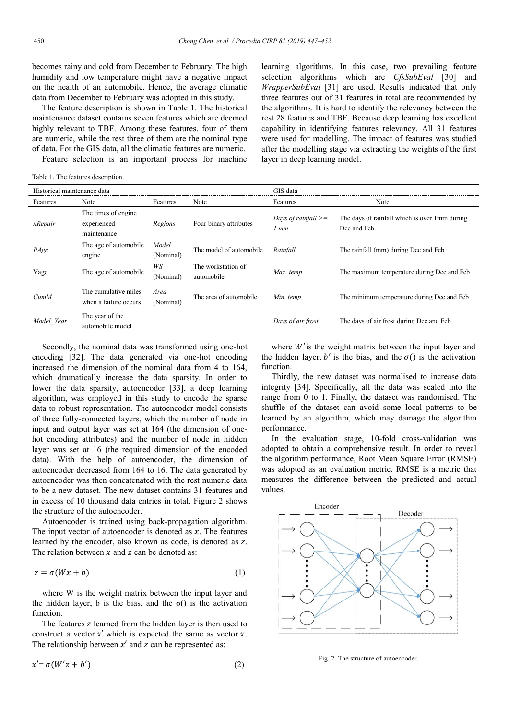becomes rainy and cold from December to February. The high humidity and low temperature might have a negative impact on the health of an automobile. Hence, the average climatic data from December to February was adopted in this study.

The feature description is shown in Table 1. The historical maintenance dataset contains seven features which are deemed highly relevant to TBF. Among these features, four of them are numeric, while the rest three of them are the nominal type of data. For the GIS data, all the climatic features are numeric.

Feature selection is an important process for machine

learning algorithms. In this case, two prevailing feature selection algorithms which are *CfsSubEval* [30] and *WrapperSubEval* [31] are used. Results indicated that only three features out of 31 features in total are recommended by the algorithms. It is hard to identify the relevancy between the rest 28 features and TBF. Because deep learning has excellent capability in identifying features relevancy. All 31 features were used for modelling. The impact of features was studied after the modelling stage via extracting the weights of the first layer in deep learning model.

Table 1. The features description.

| Historical maintenance data |                                                    |                    |                                  | GIS data                      |                                                               |
|-----------------------------|----------------------------------------------------|--------------------|----------------------------------|-------------------------------|---------------------------------------------------------------|
| Features                    | Note                                               | Features           | Note                             | Features                      | Note                                                          |
| nRepair                     | The times of engine.<br>experienced<br>maintenance | Regions            | Four binary attributes           | Days of rainfall $>=$<br>1 mm | The days of rainfall which is over 1mm during<br>Dec and Feb. |
| PAge                        | The age of automobile<br>engine                    | Model<br>(Nominal) | The model of automobile          | Rainfall                      | The rainfall (mm) during Dec and Feb                          |
| Vage                        | The age of automobile                              | WS<br>(Nominal)    | The workstation of<br>automobile | Max. temp                     | The maximum temperature during Dec and Feb                    |
| CumM                        | The cumulative miles<br>when a failure occurs      | Area<br>(Nominal)  | The area of automobile           | Min. temp                     | The minimum temperature during Dec and Feb                    |
| Model Year                  | The year of the<br>automobile model                |                    |                                  | Days of air frost             | The days of air frost during Dec and Feb                      |

Secondly, the nominal data was transformed using one-hot encoding [32]. The data generated via one-hot encoding increased the dimension of the nominal data from 4 to 164, which dramatically increase the data sparsity. In order to lower the data sparsity, autoencoder [33], a deep learning algorithm, was employed in this study to encode the sparse data to robust representation. The autoencoder model consists of three fully-connected layers, which the number of node in input and output layer was set at 164 (the dimension of onehot encoding attributes) and the number of node in hidden layer was set at 16 (the required dimension of the encoded data). With the help of autoencoder, the dimension of autoencoder decreased from 164 to 16. The data generated by autoencoder was then concatenated with the rest numeric data to be a new dataset. The new dataset contains 31 features and in excess of 10 thousand data entries in total. Figure 2 shows the structure of the autoencoder.

Autoencoder is trained using back-propagation algorithm. The input vector of autoencoder is denoted as  $x$ . The features learned by the encoder, also known as code, is denoted as z. The relation between  $x$  and  $z$  can be denoted as:

$$
z = \sigma(Wx + b) \tag{1}
$$

where W is the weight matrix between the input layer and the hidden layer, b is the bias, and the  $\sigma()$  is the activation function.

The features z learned from the hidden layer is then used to construct a vector  $x'$  which is expected the same as vector  $x$ . The relationship between  $x'$  and  $z$  can be represented as:

$$
x' = \sigma(W'z + b') \tag{2}
$$

where  $W'$  is the weight matrix between the input layer and the hidden layer, b' is the bias, and the  $\sigma()$  is the activation function.

Thirdly, the new dataset was normalised to increase data integrity [34]. Specifically, all the data was scaled into the range from 0 to 1. Finally, the dataset was randomised. The shuffle of the dataset can avoid some local patterns to be learned by an algorithm, which may damage the algorithm performance.

In the evaluation stage, 10-fold cross-validation was adopted to obtain a comprehensive result. In order to reveal the algorithm performance, Root Mean Square Error (RMSE) was adopted as an evaluation metric. RMSE is a metric that measures the difference between the predicted and actual values.



Fig. 2. The structure of autoencoder.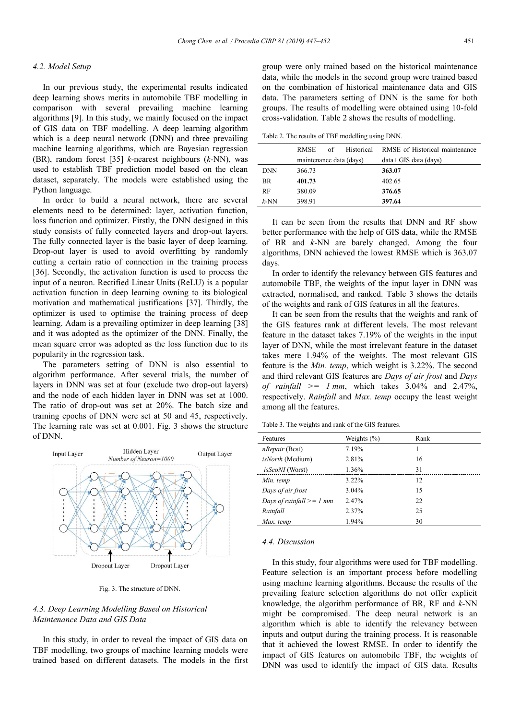#### *4.2. Model Setup*

In our previous study, the experimental results indicated deep learning shows merits in automobile TBF modelling in comparison with several prevailing machine learning algorithms [9]. In this study, we mainly focused on the impact of GIS data on TBF modelling. A deep learning algorithm which is a deep neural network (DNN) and three prevailing machine learning algorithms, which are Bayesian regression (BR), random forest [35] *k-*nearest neighbours (*k-*NN), was used to establish TBF prediction model based on the clean dataset, separately. The models were established using the Python language.

In order to build a neural network, there are several elements need to be determined: layer, activation function, loss function and optimizer. Firstly, the DNN designed in this study consists of fully connected layers and drop-out layers. The fully connected layer is the basic layer of deep learning. Drop-out layer is used to avoid overfitting by randomly cutting a certain ratio of connection in the training process [36]. Secondly, the activation function is used to process the input of a neuron. Rectified Linear Units (ReLU) is a popular activation function in deep learning owning to its biological motivation and mathematical justifications [37]. Thirdly, the optimizer is used to optimise the training process of deep learning. Adam is a prevailing optimizer in deep learning [38] and it was adopted as the optimizer of the DNN. Finally, the mean square error was adopted as the loss function due to its popularity in the regression task.

The parameters setting of DNN is also essential to algorithm performance. After several trials, the number of layers in DNN was set at four (exclude two drop-out layers) and the node of each hidden layer in DNN was set at 1000. The ratio of drop-out was set at 20%. The batch size and training epochs of DNN were set at 50 and 45, respectively. The learning rate was set at 0.001. Fig. 3 shows the structure of DNN.



Fig. 3. The structure of DNN.

### *4.3. Deep Learning Modelling Based on Historical Maintenance Data and GIS Data*

In this study, in order to reveal the impact of GIS data on TBF modelling, two groups of machine learning models were trained based on different datasets. The models in the first

group were only trained based on the historical maintenance data, while the models in the second group were trained based on the combination of historical maintenance data and GIS data. The parameters setting of DNN is the same for both groups. The results of modelling were obtained using 10-fold cross-validation. Table 2 shows the results of modelling.

Table 2. The results of TBF modelling using DNN.

|            | <b>RMSE</b>             | Historical<br>of | RMSE of Historical maintenance |  |
|------------|-------------------------|------------------|--------------------------------|--|
|            | maintenance data (days) |                  | $data + GIS data (days)$       |  |
| <b>DNN</b> | 366.73                  |                  | 363.07                         |  |
| <b>BR</b>  | 401.73                  |                  | 402.65                         |  |
| <b>RF</b>  | 380.09                  |                  | 376.65                         |  |
| $k$ -NN    | 398.91                  |                  | 397.64                         |  |
|            |                         |                  |                                |  |

It can be seen from the results that DNN and RF show better performance with the help of GIS data, while the RMSE of BR and *k*-NN are barely changed. Among the four algorithms, DNN achieved the lowest RMSE which is 363.07 days.

In order to identify the relevancy between GIS features and automobile TBF, the weights of the input layer in DNN was extracted, normalised, and ranked. Table 3 shows the details of the weights and rank of GIS features in all the features.

It can be seen from the results that the weights and rank of the GIS features rank at different levels. The most relevant feature in the dataset takes 7.19% of the weights in the input layer of DNN, while the most irrelevant feature in the dataset takes mere 1.94% of the weights. The most relevant GIS feature is the *Min. temp*, which weight is 3.22%. The second and third relevant GIS features are *Days of air frost* and *Days of rainfall*  $\geq 1$  *mm*, which takes 3.04% and 2.47%, respectively. *Rainfall* and *Max. temp* occupy the least weight among all the features.

Table 3. The weights and rank of the GIS features.

| Features                     | Weights $(\% )$ | Rank |  |
|------------------------------|-----------------|------|--|
| <i>nRepair</i> (Best)        | 7.19%           |      |  |
| <i>isNorth</i> (Medium)      | 2.81%           | 16   |  |
| <i>isScoNI</i> (Worst)       | 1.36%           | 31   |  |
| Min. temp                    | 3.22%           | 12   |  |
| Days of air frost            | $3.04\%$        | 15   |  |
| Days of rainfall $\geq 1$ mm | 2.47%           | 22   |  |
| Rainfall                     | 2.37%           | 25   |  |
| Max. temp                    | 1.94%           | 30   |  |

#### *4.4. Discussion*

In this study, four algorithms were used for TBF modelling. Feature selection is an important process before modelling using machine learning algorithms. Because the results of the prevailing feature selection algorithms do not offer explicit knowledge, the algorithm performance of BR, RF and *k*-NN might be compromised. The deep neural network is an algorithm which is able to identify the relevancy between inputs and output during the training process. It is reasonable that it achieved the lowest RMSE. In order to identify the impact of GIS features on automobile TBF, the weights of DNN was used to identify the impact of GIS data. Results